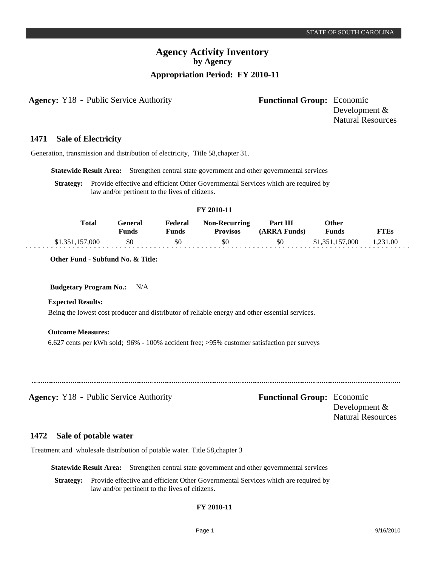## **Agency Activity Inventory by Agency Appropriation Period: FY 2010-11**

**Agency:** Y18 - Public Service Authority **- Functional Group:** Economic

Development & Natural Resources

#### **Sale of Electricity 1471**

Generation, transmission and distribution of electricity, Title 58,chapter 31.

**Statewide Result Area:** Strengthen central state government and other governmental services

**Strategy:** Provide effective and efficient Other Governmental Services which are required by law and/or pertinent to the lives of citizens.

| Total           | General<br><b>Funds</b> | Federal<br><b>Funds</b> | <b>Non-Recurring</b><br><b>Provisos</b> | <b>Part III</b><br>(ARRA Funds) | Other<br><b>Funds</b> | FTEs     |  |
|-----------------|-------------------------|-------------------------|-----------------------------------------|---------------------------------|-----------------------|----------|--|
| \$1,351,157,000 | \$0                     | \$0                     | \$0                                     | \$0                             | \$1,351,157,000       | 1.231.00 |  |

**FY 2010-11**

**Other Fund - Subfund No. & Title:**

### **Budgetary Program No.:** N/A

#### **Expected Results:**

Being the lowest cost producer and distributor of reliable energy and other essential services.

#### **Outcome Measures:**

6.627 cents per kWh sold; 96% - 100% accident free; >95% customer satisfaction per surveys

**Agency:** Y18 - Public Service Authority **Functional Group:** Economic

Development & Natural Resources

#### **Sale of potable water 1472**

Treatment and wholesale distribution of potable water. Title 58,chapter 3

**Statewide Result Area:** Strengthen central state government and other governmental services

**Strategy:** Provide effective and efficient Other Governmental Services which are required by law and/or pertinent to the lives of citizens.

## **FY 2010-11**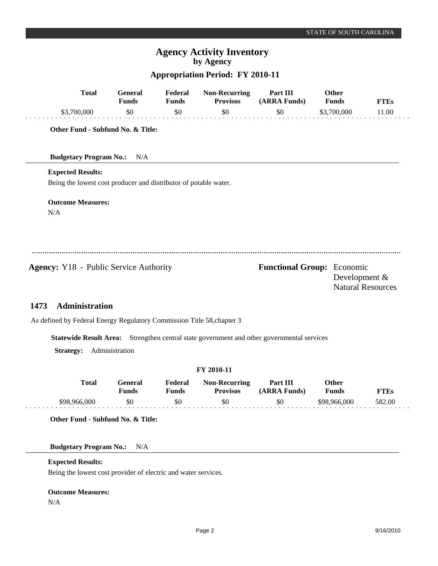# **Agency Activity Inventory by Agency**

## **Appropriation Period: FY 2010-11**

|                                                                        | <b>Total</b>   | <b>General</b><br><b>Funds</b>                                   | Federal<br><b>Funds</b> | <b>Non-Recurring</b><br><b>Provisos</b> | Part III<br>(ARRA Funds)                                            | Other<br><b>Funds</b> | <b>FTEs</b>              |
|------------------------------------------------------------------------|----------------|------------------------------------------------------------------|-------------------------|-----------------------------------------|---------------------------------------------------------------------|-----------------------|--------------------------|
| \$3,700,000                                                            |                | \$0                                                              | \$0                     | \$0                                     | \$0                                                                 | \$3,700,000           | 11.00                    |
|                                                                        |                | Other Fund - Subfund No. & Title:                                |                         |                                         |                                                                     |                       |                          |
| <b>Budgetary Program No.:</b>                                          |                | N/A                                                              |                         |                                         |                                                                     |                       |                          |
| <b>Expected Results:</b>                                               |                |                                                                  |                         |                                         |                                                                     |                       |                          |
|                                                                        |                | Being the lowest cost producer and distributor of potable water. |                         |                                         |                                                                     |                       |                          |
| <b>Outcome Measures:</b>                                               |                |                                                                  |                         |                                         |                                                                     |                       |                          |
| N/A                                                                    |                |                                                                  |                         |                                         |                                                                     |                       |                          |
|                                                                        |                |                                                                  |                         |                                         |                                                                     |                       |                          |
|                                                                        |                |                                                                  |                         |                                         |                                                                     |                       |                          |
| <b>Agency:</b> Y18 - Public Service Authority                          |                |                                                                  |                         |                                         | <b>Functional Group:</b> Economic                                   |                       |                          |
|                                                                        |                |                                                                  |                         |                                         |                                                                     |                       | Development &            |
|                                                                        |                |                                                                  |                         |                                         |                                                                     |                       | <b>Natural Resources</b> |
| 1473                                                                   | Administration |                                                                  |                         |                                         |                                                                     |                       |                          |
| As defined by Federal Energy Regulatory Commission Title 58, chapter 3 |                |                                                                  |                         |                                         |                                                                     |                       |                          |
| <b>Statewide Result Area:</b>                                          |                |                                                                  |                         |                                         | Strengthen central state government and other governmental services |                       |                          |
| <b>Strategy:</b>                                                       |                | Administration                                                   |                         |                                         |                                                                     |                       |                          |

## **FY 2010-11**

| Total        | General<br>Funds | Federal<br>Funds | <b>Non-Recurring</b><br><b>Provisos</b> | Part III<br>(ARRA Funds) | Other<br><b>Funds</b> | <b>FTEs</b> |  |
|--------------|------------------|------------------|-----------------------------------------|--------------------------|-----------------------|-------------|--|
| \$98,966,000 | \$0              | \$0              | \$0                                     | \$0                      | \$98,966,000          | 582.00      |  |

**Other Fund - Subfund No. & Title:**

**Budgetary Program No.:** N/A

### **Expected Results:**

Being the lowest cost provider of electric and water services.

## **Outcome Measures:**

N/A